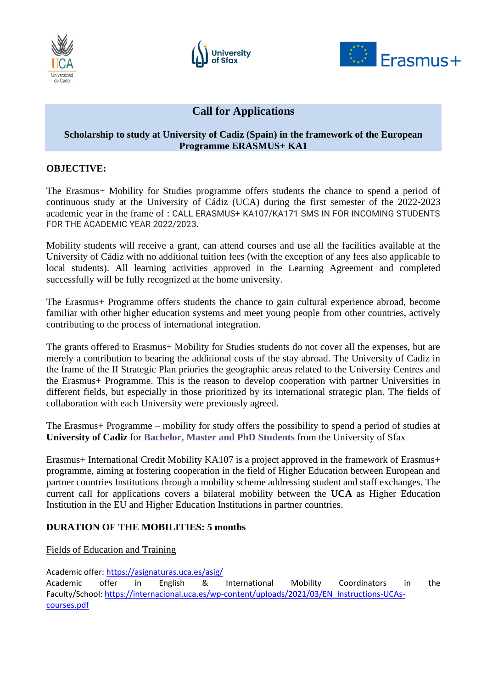





# **Call for Applications**

## **Scholarship to study at University of Cadiz (Spain) in the framework of the European Programme ERASMUS+ KA1**

## **OBJECTIVE:**

The Erasmus+ Mobility for Studies programme offers students the chance to spend a period of continuous study at the University of Cádiz (UCA) during the first semester of the 2022-2023 academic year in the frame of : CALL ERASMUS+ KA107/KA171 SMS IN FOR INCOMING STUDENTS FOR THE ACADEMIC YEAR 2022/2023.

Mobility students will receive a grant, can attend courses and use all the facilities available at the University of Cádiz with no additional tuition fees (with the exception of any fees also applicable to local students). All learning activities approved in the Learning Agreement and completed successfully will be fully recognized at the home university.

The Erasmus+ Programme offers students the chance to gain cultural experience abroad, become familiar with other higher education systems and meet young people from other countries, actively contributing to the process of international integration.

The grants offered to Erasmus+ Mobility for Studies students do not cover all the expenses, but are merely a contribution to bearing the additional costs of the stay abroad. The University of Cadiz in the frame of the II Strategic Plan priories the geographic areas related to the University Centres and the Erasmus+ Programme. This is the reason to develop cooperation with partner Universities in different fields, but especially in those prioritized by its international strategic plan. The fields of collaboration with each University were previously agreed.

The Erasmus+ Programme – mobility for study offers the possibility to spend a period of studies at **University of Cadiz** for **Bachelor, Master and PhD Students** from the University of Sfax

Erasmus+ International Credit Mobility KA107 is a project approved in the framework of Erasmus+ programme, aiming at fostering cooperation in the field of Higher Education between European and partner countries Institutions through a mobility scheme addressing student and staff exchanges. The current call for applications covers a bilateral mobility between the **UCA** as Higher Education Institution in the EU and Higher Education Institutions in partner countries.

# **DURATION OF THE MOBILITIES: 5 months**

#### Fields of Education and Training

Academic offer:<https://asignaturas.uca.es/asig/>

Academic offer in English & International Mobility Coordinators in the Faculty/School: [https://internacional.uca.es/wp-content/uploads/2021/03/EN\\_Instructions-UCAs](https://internacional.uca.es/wp-content/uploads/2021/03/EN_Instructions-UCAs-courses.pdf)[courses.pdf](https://internacional.uca.es/wp-content/uploads/2021/03/EN_Instructions-UCAs-courses.pdf)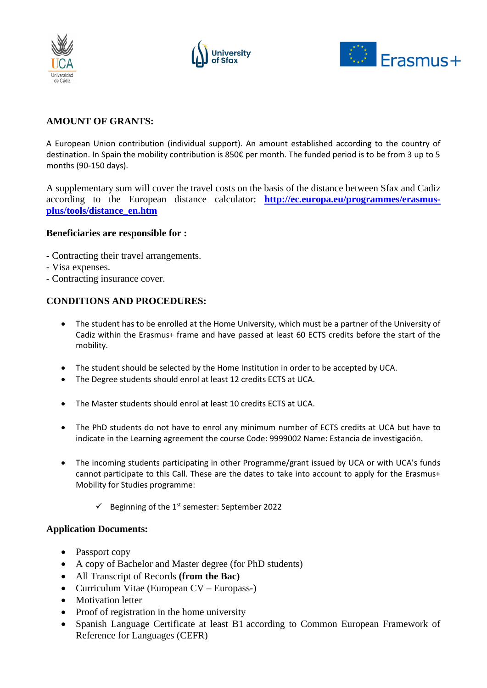





# **AMOUNT OF GRANTS:**

A European Union contribution (individual support). An amount established according to the country of destination. In Spain the mobility contribution is 850€ per month. The funded period is to be from 3 up to 5 months (90-150 days).

A supplementary sum will cover the travel costs on the basis of the distance between Sfax and Cadiz according to the European distance calculator: **[http://ec.europa.eu/programmes/erasmus](http://ec.europa.eu/programmes/erasmus-plus/tools/distance_en.htm)[plus/tools/distance\\_en.htm](http://ec.europa.eu/programmes/erasmus-plus/tools/distance_en.htm)**

#### **Beneficiaries are responsible for :**

- **-** Contracting their travel arrangements.
- Visa expenses.
- Contracting insurance cover.

## **CONDITIONS AND PROCEDURES:**

- The student has to be enrolled at the Home University, which must be a partner of the University of Cadiz within the Erasmus+ frame and have passed at least 60 ECTS credits before the start of the mobility.
- The student should be selected by the Home Institution in order to be accepted by UCA.
- The Degree students should enrol at least 12 credits ECTS at UCA.
- The Master students should enrol at least 10 credits ECTS at UCA.
- The PhD students do not have to enrol any minimum number of ECTS credits at UCA but have to indicate in the Learning agreement the course Code: 9999002 Name: Estancia de investigación.
- The incoming students participating in other Programme/grant issued by UCA or with UCA's funds cannot participate to this Call. These are the dates to take into account to apply for the Erasmus+ Mobility for Studies programme:
	- $\checkmark$  Beginning of the 1<sup>st</sup> semester: September 2022

#### **Application Documents:**

- Passport copy
- A copy of Bachelor and Master degree (for PhD students)
- All Transcript of Records **(from the Bac)**
- Curriculum Vitae (European CV Europass-)
- Motivation letter
- Proof of registration in the home university
- Spanish Language Certificate at least B1 according to Common European Framework of Reference for Languages (CEFR)